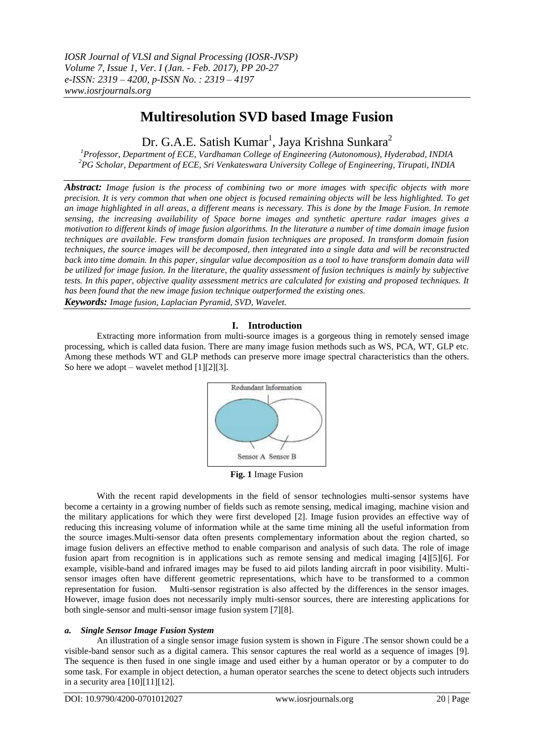# **Multiresolution SVD based Image Fusion**

Dr. G.A.E. Satish Kumar<sup>1</sup>, Jaya Krishna Sunkara<sup>2</sup>

*<sup>1</sup>Professor, Department of ECE, Vardhaman College of Engineering (Autonomous), Hyderabad, INDIA <sup>2</sup>PG Scholar, Department of ECE, Sri Venkateswara University College of Engineering, Tirupati, INDIA*

*Abstract: Image fusion is the process of combining two or more images with specific objects with more precision. It is very common that when one object is focused remaining objects will be less highlighted. To get an image highlighted in all areas, a different means is necessary. This is done by the Image Fusion. In remote sensing, the increasing availability of Space borne images and synthetic aperture radar images gives a motivation to different kinds of image fusion algorithms. In the literature a number of time domain image fusion techniques are available. Few transform domain fusion techniques are proposed. In transform domain fusion techniques, the source images will be decomposed, then integrated into a single data and will be reconstructed back into time domain. In this paper, singular value decomposition as a tool to have transform domain data will be utilized for image fusion. In the literature, the quality assessment of fusion techniques is mainly by subjective tests. In this paper, objective quality assessment metrics are calculated for existing and proposed techniques. It has been found that the new image fusion technique outperformed the existing ones. Keywords: Image fusion, Laplacian Pyramid, SVD, Wavelet.*

# **I. Introduction**

Extracting more information from multi-source images is a gorgeous thing in remotely sensed image processing, which is called data fusion. There are many image fusion methods such as WS, PCA, WT, GLP etc. Among these methods WT and GLP methods can preserve more image spectral characteristics than the others. So here we adopt – wavelet method  $[1][2][3]$ .



**Fig. 1** Image Fusion

With the recent rapid developments in the field of sensor technologies multi-sensor systems have become a certainty in a growing number of fields such as remote sensing, medical imaging, machine vision and the military applications for which they were first developed [2]. Image fusion provides an effective way of reducing this increasing volume of information while at the same time mining all the useful information from the source images.Multi-sensor data often presents complementary information about the region charted, so image fusion delivers an effective method to enable comparison and analysis of such data. The role of image fusion apart from recognition is in applications such as remote sensing and medical imaging [4][5][6]. For example, visible-band and infrared images may be fused to aid pilots landing aircraft in poor visibility. Multisensor images often have different geometric representations, which have to be transformed to a common representation for fusion. Multi-sensor registration is also affected by the differences in the sensor images. However, image fusion does not necessarily imply multi-sensor sources, there are interesting applications for both single-sensor and multi-sensor image fusion system [7][8].

# *a. Single Sensor Image Fusion System*

An illustration of a single sensor image fusion system is shown in Figure .The sensor shown could be a visible-band sensor such as a digital camera. This sensor captures the real world as a sequence of images [9]. The sequence is then fused in one single image and used either by a human operator or by a computer to do some task. For example in object detection, a human operator searches the scene to detect objects such intruders in a security area [10][11][12].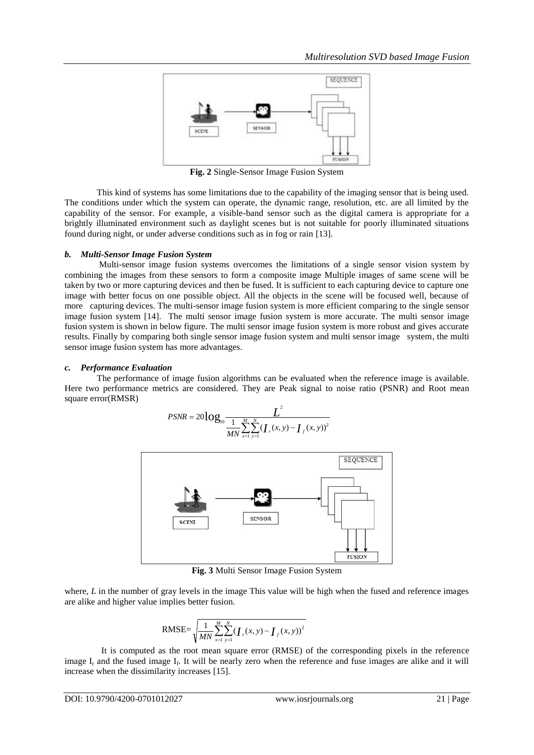

**Fig. 2** Single-Sensor Image Fusion System

This kind of systems has some limitations due to the capability of the imaging sensor that is being used. The conditions under which the system can operate, the dynamic range, resolution, etc. are all limited by the capability of the sensor. For example, a visible-band sensor such as the digital camera is appropriate for a brightly illuminated environment such as daylight scenes but is not suitable for poorly illuminated situations found during night, or under adverse conditions such as in fog or rain [13].

#### *b. Multi-Sensor Image Fusion System*

Multi-sensor image fusion systems overcomes the limitations of a single sensor vision system by combining the images from these sensors to form a composite image Multiple images of same scene will be taken by two or more capturing devices and then be fused. It is sufficient to each capturing device to capture one image with better focus on one possible object. All the objects in the scene will be focused well, because of more capturing devices. The multi-sensor image fusion system is more efficient comparing to the single sensor image fusion system [14]. The multi sensor image fusion system is more accurate. The multi sensor image fusion system is shown in below figure. The multi sensor image fusion system is more robust and gives accurate results. Finally by comparing both single sensor image fusion system and multi sensor image system, the multi sensor image fusion system has more advantages.

#### *c. Performance Evaluation*

The performance of image fusion algorithms can be evaluated when the reference image is available. Here two performance metrics are considered. They are Peak signal to noise ratio (PSNR) and Root mean square error(RMSR)

$$
PSNR = 20 \log_{10} \frac{L^2}{\frac{1}{MN} \sum_{x=1}^{M} \sum_{y=1}^{N} (I_r(x, y) - I_f(x, y))^2}
$$



**Fig. 3** Multi Sensor Image Fusion System

where, *L* in the number of gray levels in the image This value will be high when the fused and reference images are alike and higher value implies better fusion.

RMSE=
$$
\sqrt{\frac{1}{MN}\sum_{x=1}^{M}\sum_{y=1}^{N}(I_r(x, y) - I_f(x, y))^2}
$$

 It is computed as the root mean square error (RMSE) of the corresponding pixels in the reference image I<sub>r</sub> and the fused image I<sub>f</sub>. It will be nearly zero when the reference and fuse images are alike and it will increase when the dissimilarity increases [15].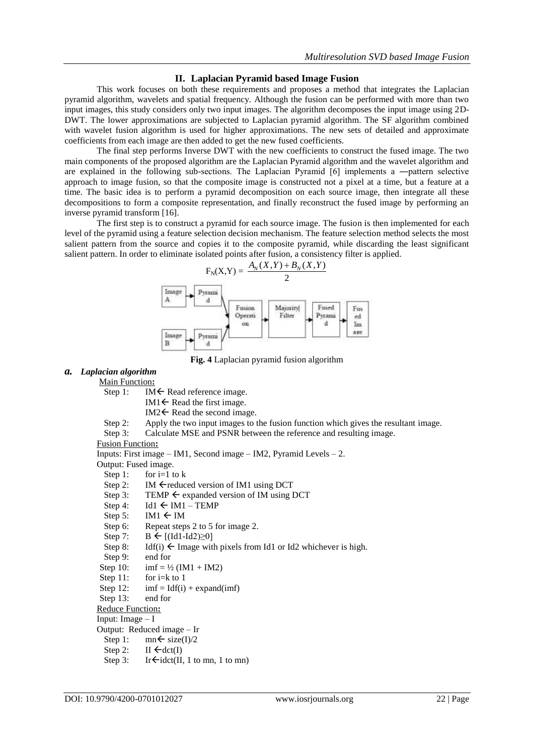# **II. Laplacian Pyramid based Image Fusion**

This work focuses on both these requirements and proposes a method that integrates the Laplacian pyramid algorithm, wavelets and spatial frequency. Although the fusion can be performed with more than two input images, this study considers only two input images. The algorithm decomposes the input image using 2D-DWT. The lower approximations are subjected to Laplacian pyramid algorithm. The SF algorithm combined with wavelet fusion algorithm is used for higher approximations. The new sets of detailed and approximate coefficients from each image are then added to get the new fused coefficients.

The final step performs Inverse DWT with the new coefficients to construct the fused image. The two main components of the proposed algorithm are the Laplacian Pyramid algorithm and the wavelet algorithm and are explained in the following sub-sections. The Laplacian Pyramid [6] implements a ―pattern selective approach to image fusion, so that the composite image is constructed not a pixel at a time, but a feature at a time. The basic idea is to perform a pyramid decomposition on each source image, then integrate all these decompositions to form a composite representation, and finally reconstruct the fused image by performing an inverse pyramid transform [16].

The first step is to construct a pyramid for each source image. The fusion is then implemented for each level of the pyramid using a feature selection decision mechanism. The feature selection method selects the most salient pattern from the source and copies it to the composite pyramid, while discarding the least significant salient pattern. In order to eliminate isolated points after fusion, a consistency filter is applied.



**Fig. 4** Laplacian pyramid fusion algorithm

#### *a. Laplacian algorithm*

Main Function**:**

Step 1:  $IM \leftarrow$  Read reference image.

- IM1 $\leftarrow$  Read the first image.
	- IM2 $\leftarrow$  Read the second image.
- Step 2: Apply the two input images to the fusion function which gives the resultant image.
- Step 3: Calculate MSE and PSNR between the reference and resulting image.

#### Fusion Function**:**

Inputs: First image – IM1, Second image – IM2, Pyramid Levels – 2.

Output: Fused image.

- Step 1: for  $i=1$  to k
- Step 2: IM  $\leftarrow$  reduced version of IM1 using DCT
- Step 3: TEMP  $\leftarrow$  expanded version of IM using DCT
- Step 4: Id1  $\leftarrow$  IM1 TEMP
- Step 5:  $IM1 \leftarrow IM$
- Step 6: Repeat steps 2 to 5 for image 2.
- Step 7:  $B \leftarrow [(Id1-Id2) \ge 0]$
- Step 8: Idf(i)  $\leftarrow$  Image with pixels from Id1 or Id2 whichever is high.
- Step 9: end for<br>Step 10:  $\text{imf} = \frac{1}{2}$
- $imf = \frac{1}{2}$  (IM1 + IM2)
- Step 11: for i=k to 1
- Step 12:  $\text{imf} = \text{Idf}(i) + \text{expand}(\text{imf})$
- Step 13: end for
- Reduce Function**:**

Input: Image  $-1$ 

- Output: Reduced image Ir
- Step 1:  $mn \leftarrow size(I)/2$
- Step 2:  $II \leftarrow det(I)$
- Step 3: Ir  $\leftarrow$  idet(II, 1 to mn, 1 to mn)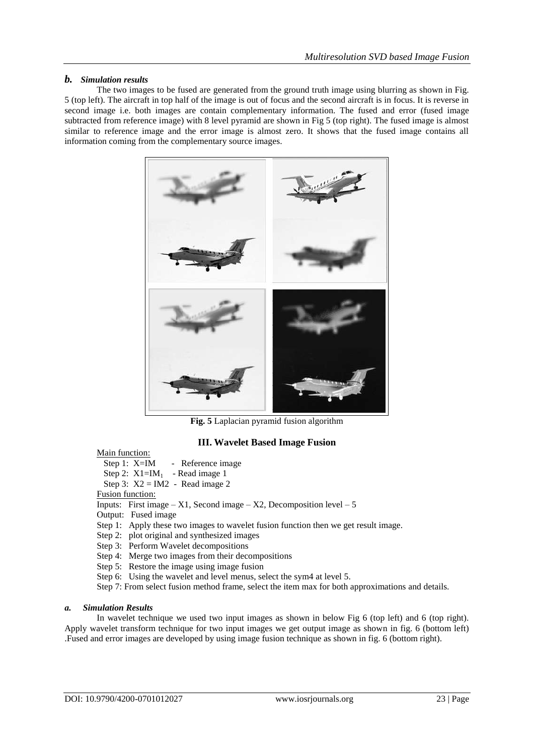# *b. Simulation results*

The two images to be fused are generated from the ground truth image using blurring as shown in Fig. 5 (top left). The aircraft in top half of the image is out of focus and the second aircraft is in focus. It is reverse in second image i.e. both images are contain complementary information. The fused and error (fused image subtracted from reference image) with 8 level pyramid are shown in Fig 5 (top right). The fused image is almost similar to reference image and the error image is almost zero. It shows that the fused image contains all information coming from the complementary source images.



**Fig. 5** Laplacian pyramid fusion algorithm

# **III. Wavelet Based Image Fusion**

Main function:

- Step 1: X=IM Reference image
- Step 2:  $X1=IM_1$  Read image 1
- Step 3:  $X2 = IM2$  Read image 2

Fusion function:

- Inputs: First image  $X1$ , Second image  $X2$ , Decomposition level  $5$
- Output: Fused image
- Step 1: Apply these two images to wavelet fusion function then we get result image.
- Step 2: plot original and synthesized images
- Step 3: Perform Wavelet decompositions
- Step 4: Merge two images from their decompositions
- Step 5: Restore the image using image fusion
- Step 6: Using the wavelet and level menus, select the sym4 at level 5.
- Step 7: From select fusion method frame, select the item max for both approximations and details.

## *a. Simulation Results*

In wavelet technique we used two input images as shown in below Fig 6 (top left) and 6 (top right). Apply wavelet transform technique for two input images we get output image as shown in fig. 6 (bottom left) .Fused and error images are developed by using image fusion technique as shown in fig. 6 (bottom right).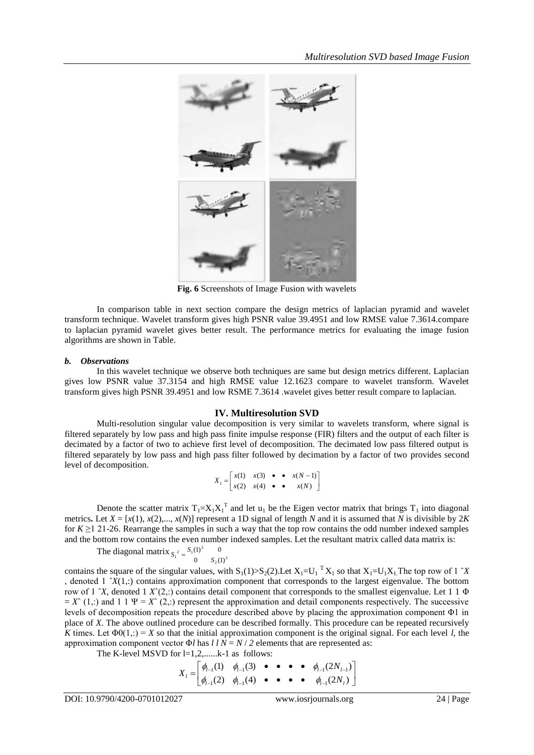

**Fig. 6** Screenshots of Image Fusion with wavelets

In comparison table in next section compare the design metrics of laplacian pyramid and wavelet transform technique. Wavelet transform gives high PSNR value 39.4951 and low RMSE value 7.3614.compare to laplacian pyramid wavelet gives better result. The performance metrics for evaluating the image fusion algorithms are shown in Table.

#### *b. Observations*

In this wavelet technique we observe both techniques are same but design metrics different. Laplacian gives low PSNR value 37.3154 and high RMSE value 12.1623 compare to wavelet transform. Wavelet transform gives high PSNR 39.4951 and low RSME 7.3614 .wavelet gives better result compare to laplacian.

## **IV. Multiresolution SVD**

Multi-resolution singular value decomposition is very similar to wavelets transform, where signal is filtered separately by low pass and high pass finite impulse response (FIR) filters and the output of each filter is decimated by a factor of two to achieve first level of decomposition. The decimated low pass filtered output is filtered separately by low pass and high pass filter followed by decimation by a factor of two provides second level of decomposition.

$$
X_1 = \begin{bmatrix} x(1) & x(3) & \bullet & \bullet & x(N-1) \\ x(2) & x(4) & \bullet & \bullet & x(N) \end{bmatrix}
$$

Denote the scatter matrix  $T_1 = X_1 X_1^T$  and let  $u_1$  be the Eigen vector matrix that brings  $T_1$  into diagonal metrics. Let  $X = [x(1), x(2),..., x(N)]$  represent a 1D signal of length *N* and it is assumed that *N* is divisible by 2*K* for *K* ≥1 21-26. Rearrange the samples in such a way that the top row contains the odd number indexed samples and the bottom row contains the even number indexed samples. Let the resultant matrix called data matrix is:

The diagonal matrix  $S_1^2 = \frac{S_1(1)^2}{S_2(1)} = \frac{0}{S_1(1)}$ 0  $S_2(1)^2$ 

contains the square of the singular values, with  $S_1(1) > S_2(2)$ . Let  $X_1 = U_1^T X_1$  so that  $X_1 = U_1 X_1$ . The top row of 1 ^*X* , denoted 1 ˆ*X*(1,:) contains approximation component that corresponds to the largest eigenvalue. The bottom row of 1 ˆ*X*, denoted 1 *X*ˆ(2,:) contains detail component that corresponds to the smallest eigenvalue. Let 1 1 Φ  $X^{\uparrow}$  (1,:) and 1 1  $\Psi = X^{\uparrow}$  (2,:) represent the approximation and detail components respectively. The successive levels of decomposition repeats the procedure described above by placing the approximation component Φ1 in place of *X*. The above outlined procedure can be described formally. This procedure can be repeated recursively *K* times. Let  $\Phi(0|1,.) = X$  so that the initial approximation component is the original signal. For each level *l*, the approximation component vector  $\Phi$ *l* has *l l*  $N = N/2$  elements that are represented as:

The K-level MSVD for  $l=1,2,......k-1$  as follows:

$$
X_{l} = \begin{bmatrix} \phi_{l-1}(1) & \phi_{l-1}(3) & \bullet & \bullet & \bullet & \phi_{l-1}(2N_{l-1}) \\ \phi_{l-1}(2) & \phi_{l-1}(4) & \bullet & \bullet & \bullet & \phi_{l-1}(2N_{l}) \end{bmatrix}
$$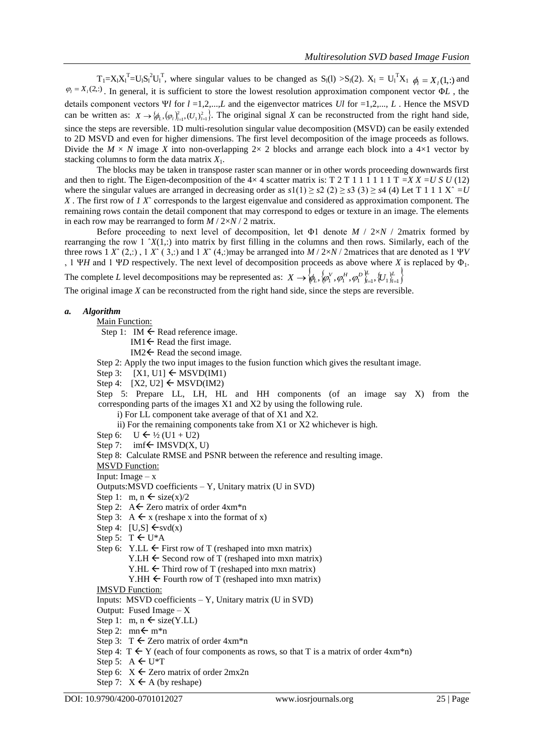$T_1 = X_1 X_1^T = U_1 S_1^2 U_1^T$ , where singular values to be changed as  $S_1(1) > S_1(2)$ .  $X_1 = U_1^T X_1$   $\phi_1 = X_1(1, z)$  and  $\varphi_l = X_l(2,1)$ . In general, it is sufficient to store the lowest resolution approximation component vector  $\Phi L$ , the details component vectors  $\Psi l$  for  $l = 1, 2, ..., L$  and the eigenvector matrices *Ul* for  $=1, 2, ..., L$ . Hence the MSVD can be written as:  $X \to \{\phi_L, (\phi_l)_{l=1}^2, (U_l)_{l=1}^2\}$ . The original signal X can be reconstructed from the right hand side, since the steps are reversible. 1D multi-resolution singular value decomposition (MSVD) can be easily extended to 2D MSVD and even for higher dimensions. The first level decomposition of the image proceeds as follows. Divide the  $M \times N$  image X into non-overlapping  $2 \times 2$  blocks and arrange each block into a 4×1 vector by stacking columns to form the data matrix  $X_1$ .

The blocks may be taken in transpose raster scan manner or in other words proceeding downwards first and then to right. The Eigen-decomposition of the  $4\times 4$  scatter matrix is: T 2 T 1 1 1 1 1 1 T = X X = U S U (12) where the singular values are arranged in decreasing order as  $s1(1) \geq s2(2) \geq s3(3) \geq s4(4)$  Let T 1 1 1 X<sup> $\sim$ </sup> = U *X* . The first row of *1 X*ˆ corresponds to the largest eigenvalue and considered as approximation component. The remaining rows contain the detail component that may correspond to edges or texture in an image. The elements in each row may be rearranged to form  $M / 2 \times N / 2$  matrix.

Before proceeding to next level of decomposition, let  $\Phi$ 1 denote *M* / 2×*N* / 2matrix formed by rearranging the row  $1 \gamma X(1,1)$  into matrix by first filling in the columns and then rows. Similarly, each of the three rows 1 *X*ˆ (2,:) , 1 *X*ˆ ( 3,:) and 1 *X*ˆ (4,:)may be arranged into *M* / 2×*N* / 2matrices that are denoted as 1 Ψ*V*  , 1 Ψ*H* and 1 Ψ*D* respectively. The next level of decomposition proceeds as above where *X* is replaced by Φ1. The complete *L* level decompositions may be represented as:  $X \to \phi_L, \phi_1^V, \phi_1^H, \phi_1^D \phi_1^L, \phi_1^L \phi_1^L$ *L*  $X \rightarrow \varphi_L^{\prime}, \varphi_1^V, \varphi_1^H, \varphi_1^D \big\vert_{l=1}^L, \{U_1\}_{l=1}^L$ 

The original image *X* can be reconstructed from the right hand side, since the steps are reversible.

#### *a. Algorithm*

- Main Function:
	- Step 1: IM  $\leftarrow$  Read reference image.
		- IM1 $\leftarrow$  Read the first image.
		- IM2 $\leftarrow$  Read the second image.
	- Step 2: Apply the two input images to the fusion function which gives the resultant image.
	- Step 3:  $[X1, U1] \leftarrow \text{MSVD}(IM1)$
	- Step 4:  $[X2, U2] \leftarrow \text{MSVD}(IM2)$
	- Step 5: Prepare LL, LH, HL and HH components (of an image say X) from the corresponding parts of the images X1 and X2 by using the following rule.
		- i) For LL component take average of that of X1 and X2.
		- ii) For the remaining components take from X1 or X2 whichever is high.
	- Step 6:  $U \leftarrow \frac{1}{2} (U1 + U2)$
	- Step 7:  $imf \leftarrow$  IMSVD(X, U)
	- Step 8: Calculate RMSE and PSNR between the reference and resulting image.
	- **MSVD** Function:
	- Input: Image x
	- Outputs:MSVD coefficients Y, Unitary matrix (U in SVD)
	- Step 1: m,  $n \leftarrow size(x)/2$
	- Step 2:  $A \leftarrow$  Zero matrix of order  $4 \times m^*n$
	- Step 3: A  $\leftarrow$  x (reshape x into the format of x)
	- Step 4:  $[U,S] \leftarrow svd(x)$
	- Step 5:  $T \leftarrow U^*A$
	- Step 6: Y.LL  $\leftarrow$  First row of T (reshaped into mxn matrix)
		- $Y.LH \leftarrow$  Second row of T (reshaped into mxn matrix)
		- Y.HL  $\leftarrow$  Third row of T (reshaped into mxn matrix)
		- $Y.HH \leftarrow$  Fourth row of T (reshaped into mxn matrix)

#### IMSVD Function:

- Inputs: MSVD coefficients Y, Unitary matrix (U in SVD)
- Output: Fused Image  $-X$
- Step 1:  $m, n \leftarrow size(Y.LL)$
- Step 2:  $mn \leftarrow m*n$
- Step 3:  $T \leftarrow$  Zero matrix of order 4xm\*n
- Step 4:  $T \leftarrow Y$  (each of four components as rows, so that T is a matrix of order  $4xm*n$ )
- Step 5:  $A \leftarrow U^*T$
- Step 6:  $X \leftarrow$  Zero matrix of order 2mx2n
- Step 7:  $X \leftarrow A$  (by reshape)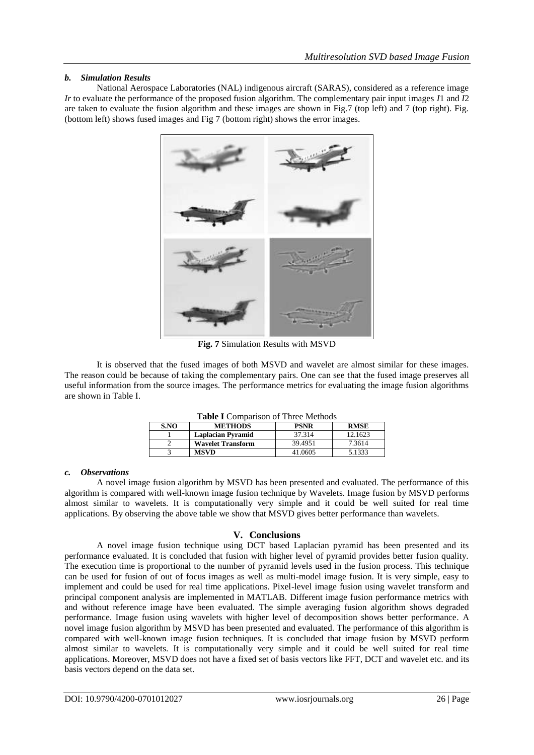# *b. Simulation Results*

National Aerospace Laboratories (NAL) indigenous aircraft (SARAS), considered as a reference image *Ir* to evaluate the performance of the proposed fusion algorithm. The complementary pair input images *I*1 and *I*2 are taken to evaluate the fusion algorithm and these images are shown in Fig.7 (top left) and 7 (top right). Fig. (bottom left) shows fused images and Fig 7 (bottom right) shows the error images.



**Fig. 7** Simulation Results with MSVD

It is observed that the fused images of both MSVD and wavelet are almost similar for these images. The reason could be because of taking the complementary pairs. One can see that the fused image preserves all useful information from the source images. The performance metrics for evaluating the image fusion algorithms are shown in Table I.

| <b>Table I</b> Comparison of Timee Methods |                          |             |             |
|--------------------------------------------|--------------------------|-------------|-------------|
| S.NO                                       | <b>METHODS</b>           | <b>PSNR</b> | <b>RMSE</b> |
|                                            | <b>Laplacian Pyramid</b> | 37.314      | 12.1623     |
|                                            | <b>Wavelet Transform</b> | 39.4951     | 7.3614      |
|                                            | <b>MSVD</b>              | 41.0605     | 5.1333      |

**Table I** Comparison of Three Methods

## *c. Observations*

A novel image fusion algorithm by MSVD has been presented and evaluated. The performance of this algorithm is compared with well-known image fusion technique by Wavelets. Image fusion by MSVD performs almost similar to wavelets. It is computationally very simple and it could be well suited for real time applications. By observing the above table we show that MSVD gives better performance than wavelets.

# **V. Conclusions**

A novel image fusion technique using DCT based Laplacian pyramid has been presented and its performance evaluated. It is concluded that fusion with higher level of pyramid provides better fusion quality. The execution time is proportional to the number of pyramid levels used in the fusion process. This technique can be used for fusion of out of focus images as well as multi-model image fusion. It is very simple, easy to implement and could be used for real time applications. Pixel-level image fusion using wavelet transform and principal component analysis are implemented in MATLAB. Different image fusion performance metrics with and without reference image have been evaluated. The simple averaging fusion algorithm shows degraded performance. Image fusion using wavelets with higher level of decomposition shows better performance. A novel image fusion algorithm by MSVD has been presented and evaluated. The performance of this algorithm is compared with well-known image fusion techniques. It is concluded that image fusion by MSVD perform almost similar to wavelets. It is computationally very simple and it could be well suited for real time applications. Moreover, MSVD does not have a fixed set of basis vectors like FFT, DCT and wavelet etc. and its basis vectors depend on the data set.